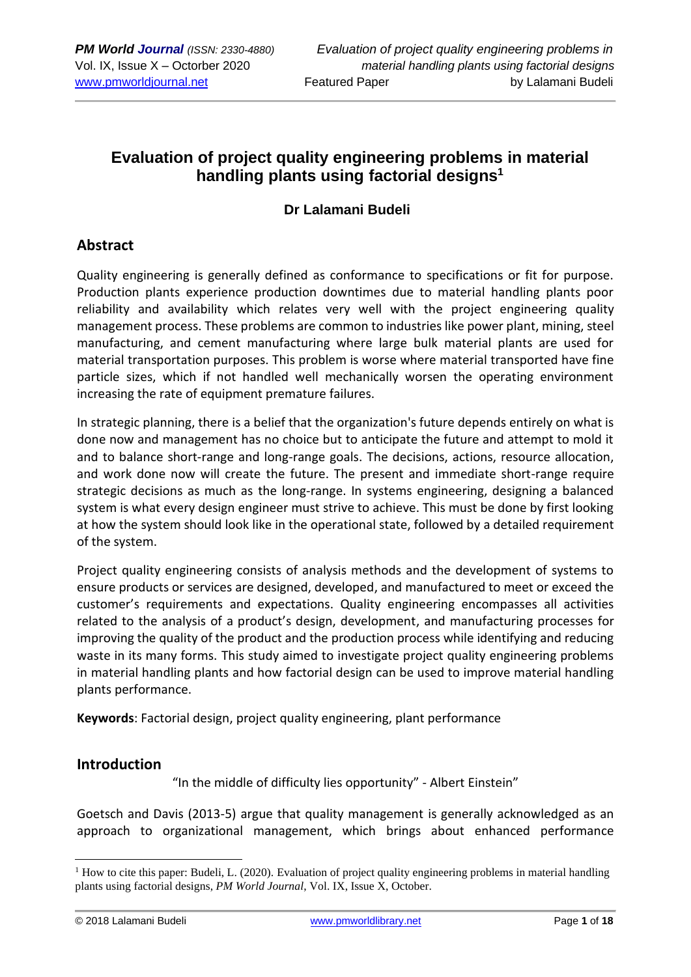# **Evaluation of project quality engineering problems in material handling plants using factorial designs<sup>1</sup>**

## **Dr Lalamani Budeli**

## **Abstract**

Quality engineering is generally defined as conformance to specifications or fit for purpose. Production plants experience production downtimes due to material handling plants poor reliability and availability which relates very well with the project engineering quality management process. These problems are common to industries like power plant, mining, steel manufacturing, and cement manufacturing where large bulk material plants are used for material transportation purposes. This problem is worse where material transported have fine particle sizes, which if not handled well mechanically worsen the operating environment increasing the rate of equipment premature failures.

In strategic planning, there is a belief that the organization's future depends entirely on what is done now and management has no choice but to anticipate the future and attempt to mold it and to balance short-range and long-range goals. The decisions, actions, resource allocation, and work done now will create the future. The present and immediate short-range require strategic decisions as much as the long-range. In systems engineering, designing a balanced system is what every design engineer must strive to achieve. This must be done by first looking at how the system should look like in the operational state, followed by a detailed requirement of the system.

Project quality engineering consists of analysis methods and the development of systems to ensure products or services are designed, developed, and manufactured to meet or exceed the customer's requirements and expectations. Quality engineering encompasses all activities related to the analysis of a product's design, development, and manufacturing processes for improving the quality of the product and the production process while identifying and reducing waste in its many forms. This study aimed to investigate project quality engineering problems in material handling plants and how factorial design can be used to improve material handling plants performance.

**Keywords**: Factorial design, project quality engineering, plant performance

## **Introduction**

"In the middle of difficulty lies opportunity" - Albert Einstein"

Goetsch and Davis (2013-5) argue that quality management is generally acknowledged as an approach to organizational management, which brings about enhanced performance

 $1$  How to cite this paper: Budeli, L. (2020). Evaluation of project quality engineering problems in material handling plants using factorial designs, *PM World Journal*, Vol. IX, Issue X, October.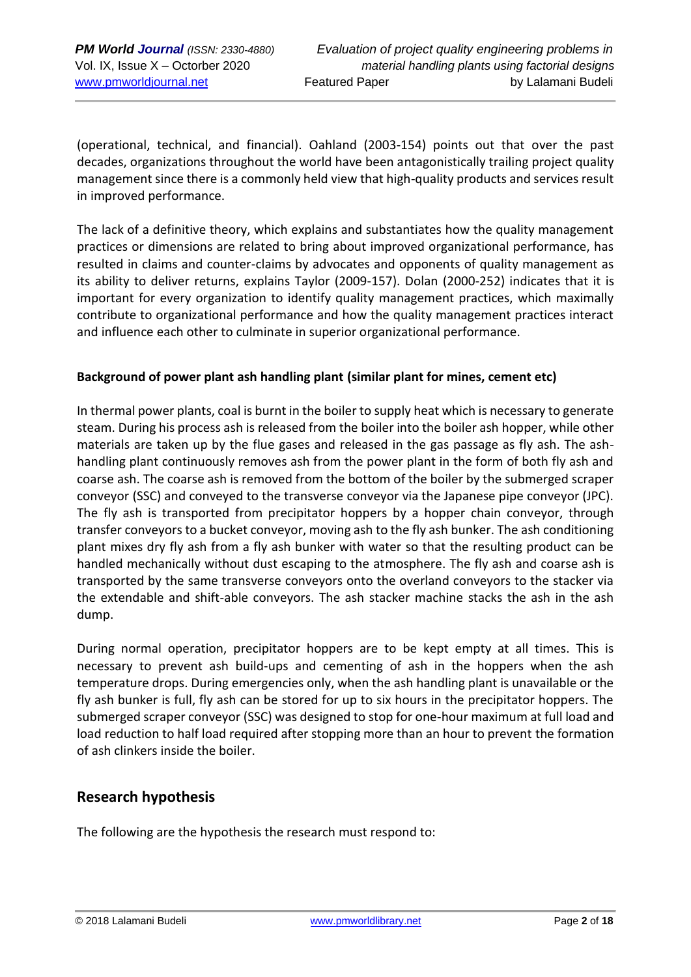(operational, technical, and financial). Oahland (2003-154) points out that over the past decades, organizations throughout the world have been antagonistically trailing project quality management since there is a commonly held view that high-quality products and services result in improved performance.

The lack of a definitive theory, which explains and substantiates how the quality management practices or dimensions are related to bring about improved organizational performance, has resulted in claims and counter-claims by advocates and opponents of quality management as its ability to deliver returns, explains Taylor (2009-157). Dolan (2000-252) indicates that it is important for every organization to identify quality management practices, which maximally contribute to organizational performance and how the quality management practices interact and influence each other to culminate in superior organizational performance.

### **Background of power plant ash handling plant (similar plant for mines, cement etc)**

In thermal power plants, coal is burnt in the boiler to supply heat which is necessary to generate steam. During his process ash is released from the boiler into the boiler ash hopper, while other materials are taken up by the flue gases and released in the gas passage as fly ash. The ashhandling plant continuously removes ash from the power plant in the form of both fly ash and coarse ash. The coarse ash is removed from the bottom of the boiler by the submerged scraper conveyor (SSC) and conveyed to the transverse conveyor via the Japanese pipe conveyor (JPC). The fly ash is transported from precipitator hoppers by a hopper chain conveyor, through transfer conveyors to a bucket conveyor, moving ash to the fly ash bunker. The ash conditioning plant mixes dry fly ash from a fly ash bunker with water so that the resulting product can be handled mechanically without dust escaping to the atmosphere. The fly ash and coarse ash is transported by the same transverse conveyors onto the overland conveyors to the stacker via the extendable and shift-able conveyors. The ash stacker machine stacks the ash in the ash dump.

During normal operation, precipitator hoppers are to be kept empty at all times. This is necessary to prevent ash build-ups and cementing of ash in the hoppers when the ash temperature drops. During emergencies only, when the ash handling plant is unavailable or the fly ash bunker is full, fly ash can be stored for up to six hours in the precipitator hoppers. The submerged scraper conveyor (SSC) was designed to stop for one-hour maximum at full load and load reduction to half load required after stopping more than an hour to prevent the formation of ash clinkers inside the boiler.

## **Research hypothesis**

The following are the hypothesis the research must respond to: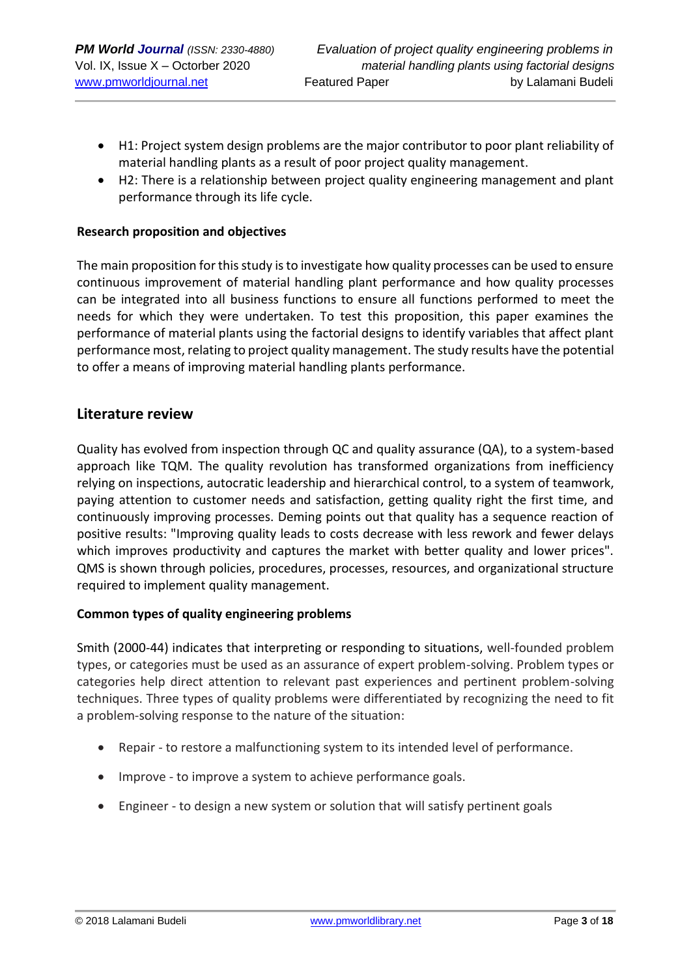- H1: Project system design problems are the major contributor to poor plant reliability of material handling plants as a result of poor project quality management.
- H2: There is a relationship between project quality engineering management and plant performance through its life cycle.

### **Research proposition and objectives**

The main proposition for this study is to investigate how quality processes can be used to ensure continuous improvement of material handling plant performance and how quality processes can be integrated into all business functions to ensure all functions performed to meet the needs for which they were undertaken. To test this proposition, this paper examines the performance of material plants using the factorial designs to identify variables that affect plant performance most, relating to project quality management. The study results have the potential to offer a means of improving material handling plants performance.

## **Literature review**

Quality has evolved from inspection through QC and quality assurance (QA), to a system-based approach like TQM. The quality revolution has transformed organizations from inefficiency relying on inspections, autocratic leadership and hierarchical control, to a system of teamwork, paying attention to customer needs and satisfaction, getting quality right the first time, and continuously improving processes. Deming points out that quality has a sequence reaction of positive results: "Improving quality leads to costs decrease with less rework and fewer delays which improves productivity and captures the market with better quality and lower prices". QMS is shown through policies, procedures, processes, resources, and organizational structure required to implement quality management.

### **Common types of quality engineering problems**

Smith (2000-44) indicates that interpreting or responding to situations, well-founded problem types, or categories must be used as an assurance of expert problem-solving. Problem types or categories help direct attention to relevant past experiences and pertinent problem-solving techniques. Three types of quality problems were differentiated by recognizing the need to fit a problem-solving response to the nature of the situation:

- Repair to restore a malfunctioning system to its intended level of performance.
- Improve to improve a system to achieve performance goals.
- Engineer to design a new system or solution that will satisfy pertinent goals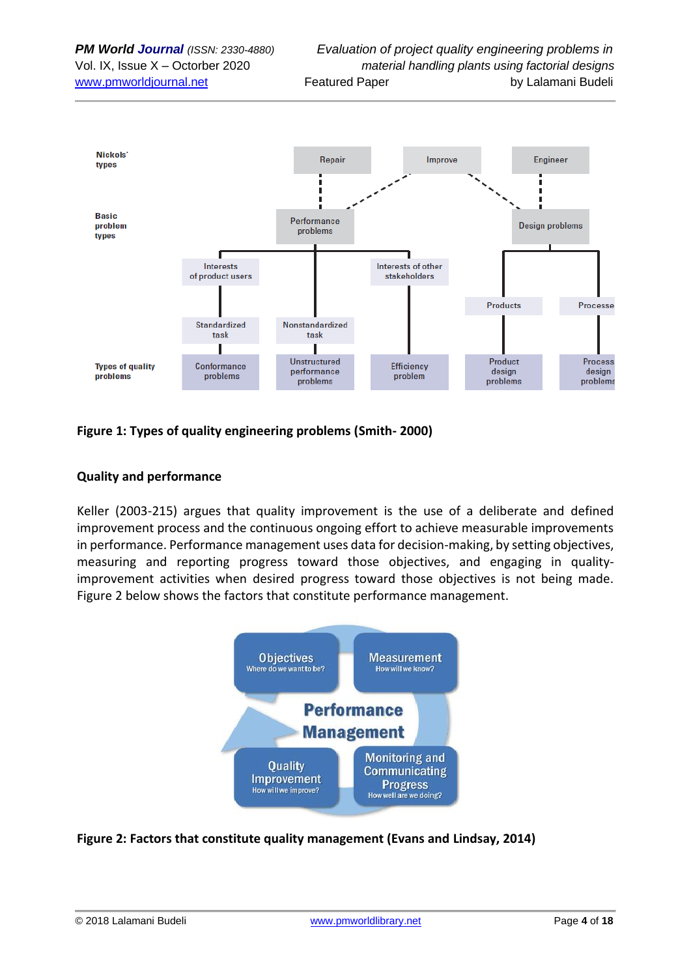

## **Figure 1: Types of quality engineering problems (Smith- 2000)**

### **Quality and performance**

Keller (2003-215) argues that quality improvement is the use of a deliberate and defined improvement process and the continuous ongoing effort to achieve measurable improvements in performance. Performance management uses data for decision-making, by setting objectives, measuring and reporting progress toward those objectives, and engaging in qualityimprovement activities when desired progress toward those objectives is not being made. Figure 2 below shows the factors that constitute performance management.



### **Figure 2: Factors that constitute quality management (Evans and Lindsay, 2014)**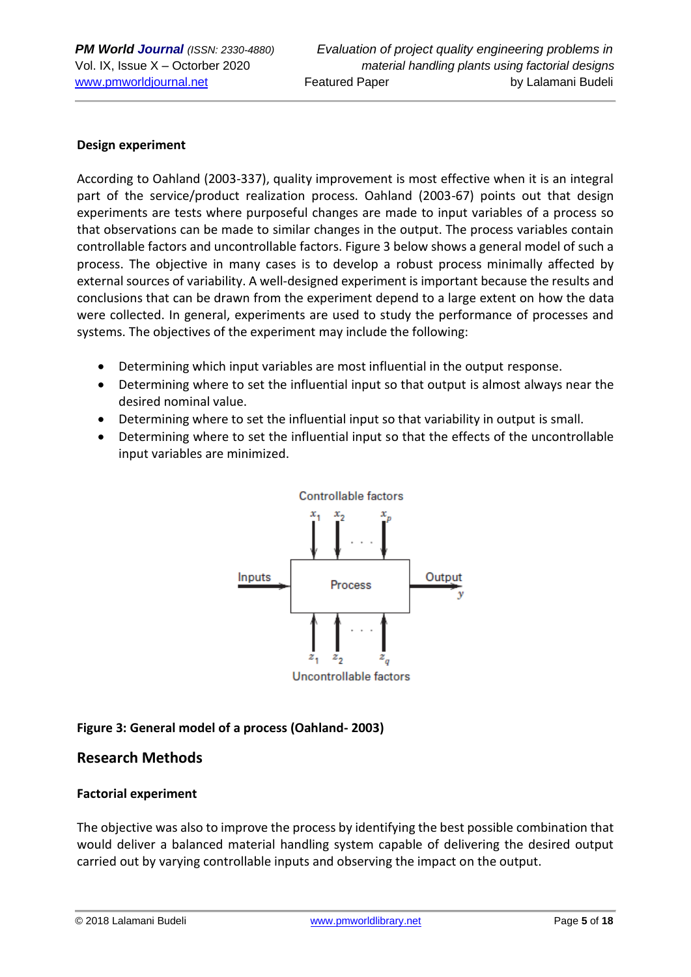### **Design experiment**

According to Oahland (2003-337), quality improvement is most effective when it is an integral part of the service/product realization process. Oahland (2003-67) points out that design experiments are tests where purposeful changes are made to input variables of a process so that observations can be made to similar changes in the output. The process variables contain controllable factors and uncontrollable factors. Figure 3 below shows a general model of such a process. The objective in many cases is to develop a robust process minimally affected by external sources of variability. A well-designed experiment is important because the results and conclusions that can be drawn from the experiment depend to a large extent on how the data were collected. In general, experiments are used to study the performance of processes and systems. The objectives of the experiment may include the following:

- Determining which input variables are most influential in the output response.
- Determining where to set the influential input so that output is almost always near the desired nominal value.
- Determining where to set the influential input so that variability in output is small.
- Determining where to set the influential input so that the effects of the uncontrollable input variables are minimized.



**Uncontrollable factors** 

### **Figure 3: General model of a process (Oahland- 2003)**

## **Research Methods**

### **Factorial experiment**

The objective was also to improve the process by identifying the best possible combination that would deliver a balanced material handling system capable of delivering the desired output carried out by varying controllable inputs and observing the impact on the output.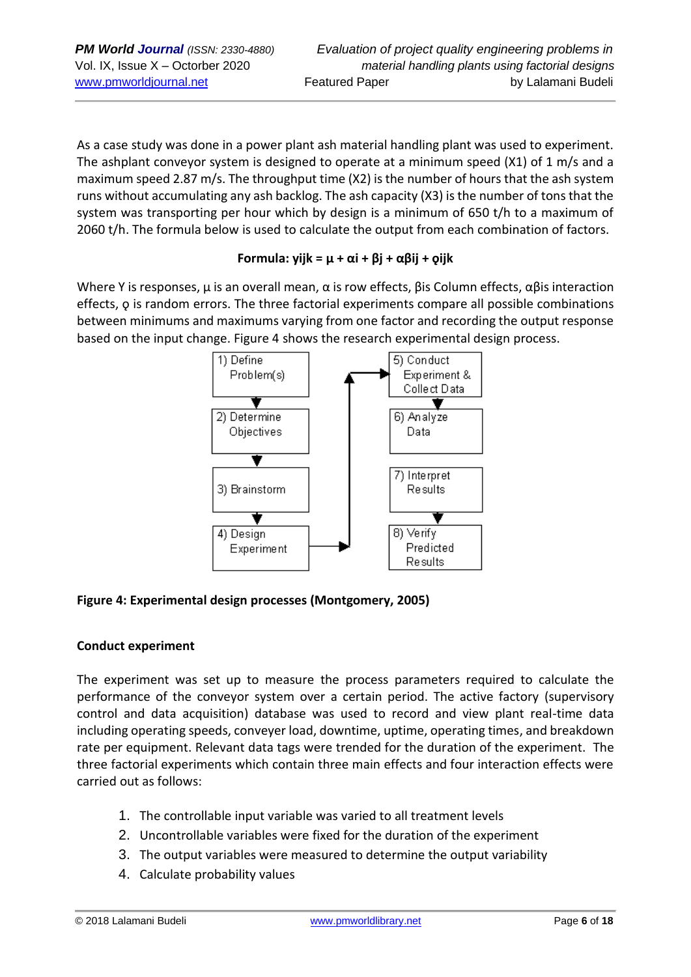As a case study was done in a power plant ash material handling plant was used to experiment. The ashplant conveyor system is designed to operate at a minimum speed (X1) of 1 m/s and a maximum speed 2.87 m/s. The throughput time (X2) is the number of hours that the ash system runs without accumulating any ash backlog. The ash capacity (X3) is the number of tons that the system was transporting per hour which by design is a minimum of 650 t/h to a maximum of 2060 t/h. The formula below is used to calculate the output from each combination of factors.

## **Formula: yijk = μ + αi + βj + αβij + ǫijk**

Where Y is responses, μ is an overall mean, α is row effects, βis Column effects, αβis interaction effects, ǫ is random errors. The three factorial experiments compare all possible combinations between minimums and maximums varying from one factor and recording the output response based on the input change. Figure 4 shows the research experimental design process.



### **Figure 4: Experimental design processes (Montgomery, 2005)**

### **Conduct experiment**

The experiment was set up to measure the process parameters required to calculate the performance of the conveyor system over a certain period. The active factory (supervisory control and data acquisition) database was used to record and view plant real-time data including operating speeds, conveyer load, downtime, uptime, operating times, and breakdown rate per equipment. Relevant data tags were trended for the duration of the experiment. The three factorial experiments which contain three main effects and four interaction effects were carried out as follows:

- 1. The controllable input variable was varied to all treatment levels
- 2. Uncontrollable variables were fixed for the duration of the experiment
- 3. The output variables were measured to determine the output variability
- 4. Calculate probability values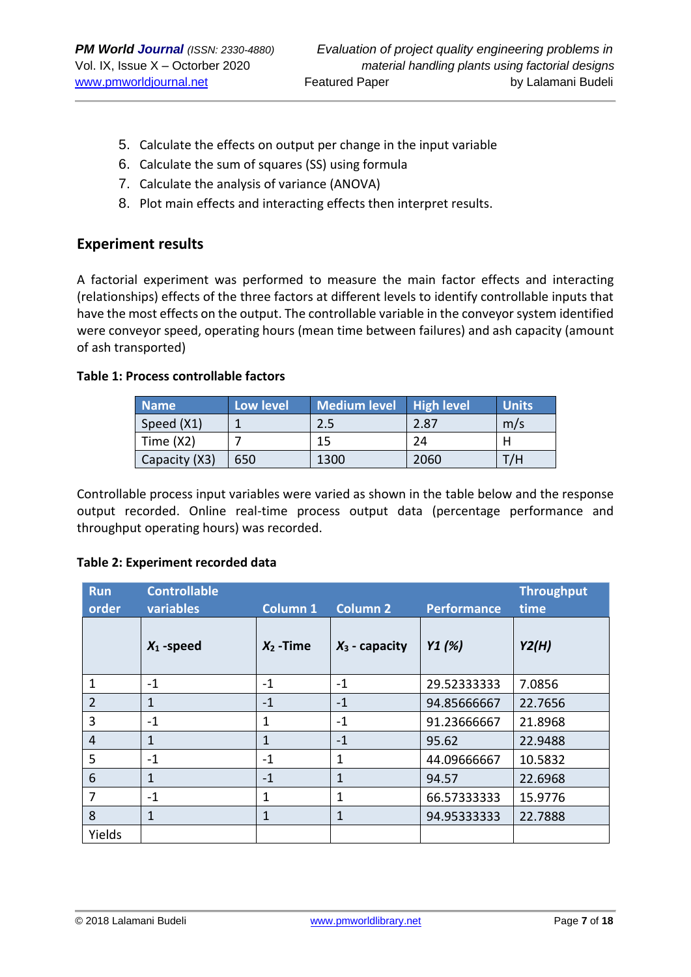- 5. Calculate the effects on output per change in the input variable
- 6. Calculate the sum of squares (SS) using formula
- 7. Calculate the analysis of variance (ANOVA)
- 8. Plot main effects and interacting effects then interpret results.

### **Experiment results**

A factorial experiment was performed to measure the main factor effects and interacting (relationships) effects of the three factors at different levels to identify controllable inputs that have the most effects on the output. The controllable variable in the conveyor system identified were conveyor speed, operating hours (mean time between failures) and ash capacity (amount of ash transported)

### **Table 1: Process controllable factors**

| <b>Name</b>   | Low level | <b>Medium level</b> | <b>High level</b> | <b>Units</b> |
|---------------|-----------|---------------------|-------------------|--------------|
| Speed (X1)    |           | 2.5                 | 2.87              | m/s          |
| Time $(X2)$   |           | 15                  | 24                |              |
| Capacity (X3) | 650       | 1300                | 2060              | T/H          |

Controllable process input variables were varied as shown in the table below and the response output recorded. Online real-time process output data (percentage performance and throughput operating hours) was recorded.

#### **Table 2: Experiment recorded data**

| <b>Run</b>     | <b>Controllable</b> |             |                  |                    | <b>Throughput</b> |
|----------------|---------------------|-------------|------------------|--------------------|-------------------|
| order          | variables           | Column 1    | <b>Column 2</b>  | <b>Performance</b> | time              |
|                | $X_1$ -speed        | $X_2$ -Time | $X_3$ - capacity | Y1(%)              | Y2(H)             |
| 1              | $-1$                | $-1$        | $-1$             | 29.52333333        | 7.0856            |
| $\overline{2}$ | 1                   | $-1$        | $-1$             | 94.85666667        | 22.7656           |
| 3              | $-1$                | 1           | $-1$             | 91.23666667        | 21.8968           |
| $\overline{4}$ | 1                   | 1           | $-1$             | 95.62              | 22.9488           |
| 5              | $-1$                | $-1$        | 1                | 44.09666667        | 10.5832           |
| 6              | 1                   | $-1$        | 1                | 94.57              | 22.6968           |
|                | $-1$                | 1           | 1                | 66.57333333        | 15.9776           |
| 8              | 1                   | 1           | 1                | 94.95333333        | 22.7888           |
| Yields         |                     |             |                  |                    |                   |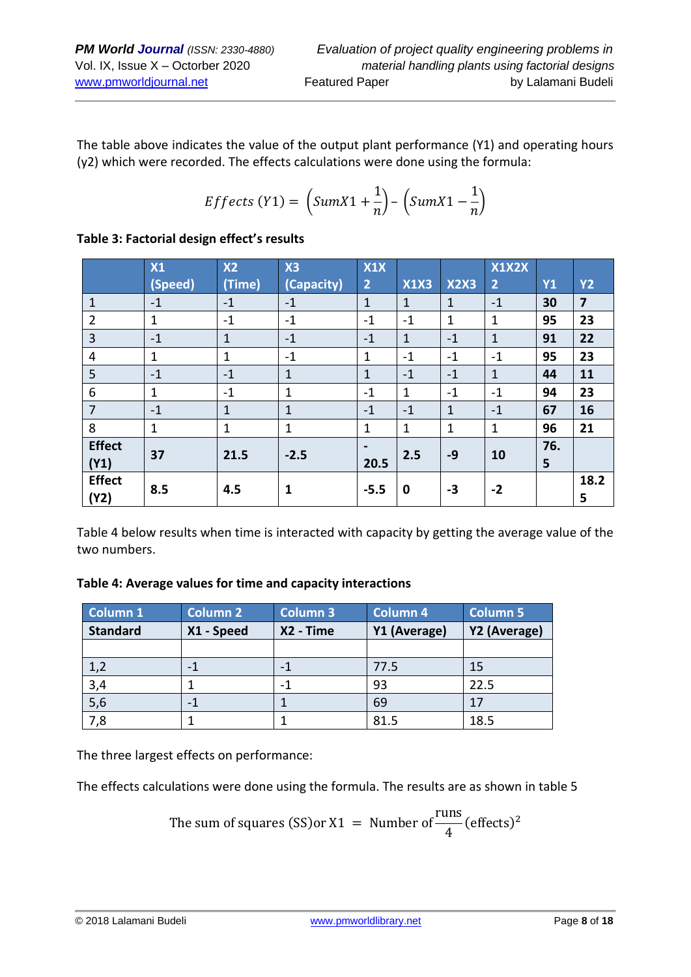The table above indicates the value of the output plant performance (Y1) and operating hours (y2) which were recorded. The effects calculations were done using the formula:

$$
Effects (Y1) = \left(SumX1 + \frac{1}{n}\right) - \left(SumX1 - \frac{1}{n}\right)
$$

|                       | X1           | X <sub>2</sub> | X3           | X1X            |              |              | X1X2X          |          |                |
|-----------------------|--------------|----------------|--------------|----------------|--------------|--------------|----------------|----------|----------------|
|                       | (Speed)      | (Time)         | (Capacity)   | $\overline{2}$ | <b>X1X3</b>  | <b>X2X3</b>  | $\overline{2}$ | $ Y_1 $  | <b>Y2</b>      |
| $\mathbf{1}$          | $-1$         | $-1$           | $-1$         | $\mathbf{1}$   | $\mathbf{1}$ | $\mathbf{1}$ | $-1$           | 30       | $\overline{7}$ |
| $\overline{2}$        | $\mathbf{1}$ | $-1$           | $-1$         | $-1$           | $-1$         | $\mathbf{1}$ | $\mathbf{1}$   | 95       | 23             |
| $\overline{3}$        | $-1$         | $\mathbf{1}$   | $-1$         | $-1$           | $\mathbf{1}$ | $-1$         | $\mathbf{1}$   | 91       | 22             |
| $\overline{4}$        | 1            | $\mathbf 1$    | $-1$         | $\mathbf{1}$   | $-1$         | $-1$         | $-1$           | 95       | 23             |
| 5                     | $-1$         | $-1$           | $\mathbf{1}$ | $\mathbf{1}$   | $-1$         | $-1$         | $\mathbf{1}$   | 44       | 11             |
| 6                     | $\mathbf 1$  | $-1$           | 1            | $-1$           | 1            | $-1$         | $-1$           | 94       | 23             |
| 7                     | $-1$         | $\mathbf{1}$   | $\mathbf{1}$ | $-1$           | $-1$         | $\mathbf{1}$ | $-1$           | 67       | 16             |
| 8                     | 1            | $\mathbf{1}$   | $\mathbf 1$  | $\mathbf{1}$   | $\mathbf{1}$ | $\mathbf{1}$ | $\mathbf{1}$   | 96       | 21             |
| <b>Effect</b><br>(Y1) | 37           | 21.5           | $-2.5$       | 20.5           | 2.5          | -9           | 10             | 76.<br>5 |                |
| <b>Effect</b><br>(Y2) | 8.5          | 4.5            | 1            | $-5.5$         | $\mathbf 0$  | $-3$         | $-2$           |          | 18.2<br>5      |

### **Table 3: Factorial design effect's results**

Table 4 below results when time is interacted with capacity by getting the average value of the two numbers.

### **Table 4: Average values for time and capacity interactions**

| Column 1        | <b>Column 2</b> | Column <sub>3</sub> | <b>Column 4</b> | Column 5     |
|-----------------|-----------------|---------------------|-----------------|--------------|
| <b>Standard</b> | X1 - Speed      | X2 - Time           | Y1 (Average)    | Y2 (Average) |
|                 |                 |                     |                 |              |
| 1,2             |                 | -1                  | 77.5            | 15           |
| 3,4             |                 |                     | 93              | 22.5         |
| 5,6             |                 |                     | 69              | 17           |
| 7,8             |                 |                     | 81.5            | 18.5         |

The three largest effects on performance:

The effects calculations were done using the formula. The results are as shown in table 5

The sum of squares (SS) or X1 = Number of 
$$
\frac{runs}{4}
$$
 (effects)<sup>2</sup>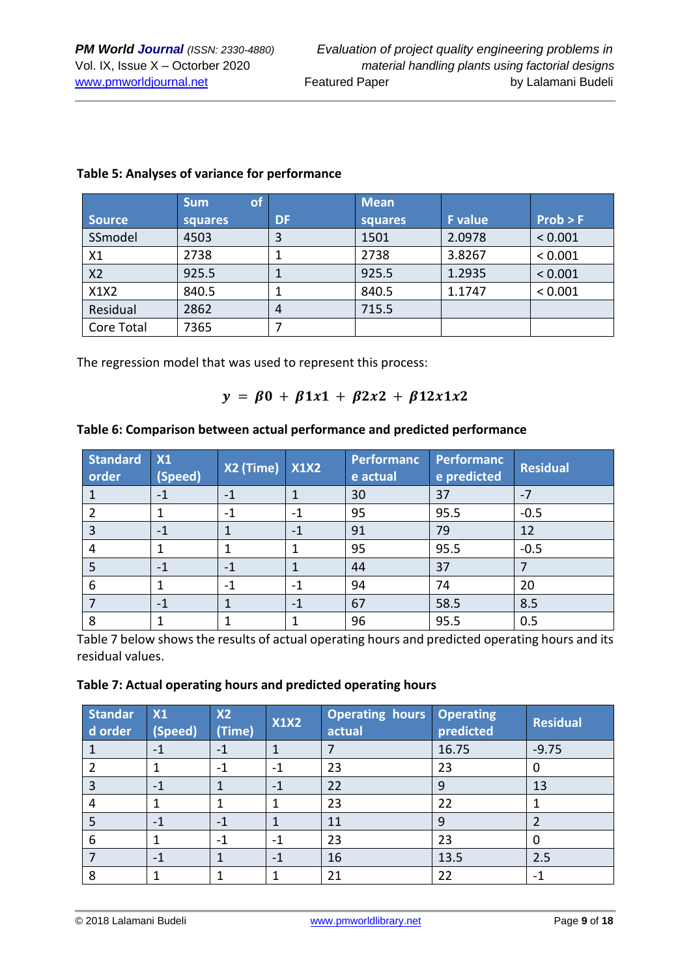|                | <b>of</b><br><b>Sum</b> |           | <b>Mean</b> |                |          |
|----------------|-------------------------|-----------|-------------|----------------|----------|
| <b>Source</b>  | squares                 | <b>DF</b> | squares     | <b>F</b> value | Prob > F |
| SSmodel        | 4503                    | 3         | 1501        | 2.0978         | < 0.001  |
| X1             | 2738                    |           | 2738        | 3.8267         | < 0.001  |
| X <sub>2</sub> | 925.5                   |           | 925.5       | 1.2935         | < 0.001  |
| X1X2           | 840.5                   |           | 840.5       | 1.1747         | < 0.001  |
| Residual       | 2862                    | 4         | 715.5       |                |          |
| Core Total     | 7365                    |           |             |                |          |

### **Table 5: Analyses of variance for performance**

The regression model that was used to represent this process:

### $y = \beta 0 + \beta 1x1 + \beta 2x2 + \beta 12x1x2$

### **Table 6: Comparison between actual performance and predicted performance**

| <b>Standard</b><br>order | X1<br>(Speed) | $X2$ (Time) $X1X2$ |      | Performanc<br>e actual | Performanc<br>e predicted | <b>Residual</b> |
|--------------------------|---------------|--------------------|------|------------------------|---------------------------|-----------------|
|                          | $-1$          | $-1$               |      | 30                     | 37                        | $-7$            |
|                          |               | $-1$               | $-1$ | 95                     | 95.5                      | $-0.5$          |
| 3                        | $-1$          |                    | -1   | 91                     | 79                        | 12              |
| 4                        |               |                    |      | 95                     | 95.5                      | $-0.5$          |
| 5                        | $-1$          | $-1$               |      | 44                     | 37                        |                 |
| 6                        |               | $-1$               | $-1$ | 94                     | 74                        | 20              |
|                          | $-1$          |                    | $-1$ | 67                     | 58.5                      | 8.5             |
| 8                        |               |                    |      | 96                     | 95.5                      | 0.5             |

Table 7 below shows the results of actual operating hours and predicted operating hours and its residual values.

#### **Table 7: Actual operating hours and predicted operating hours**

| <b>Standar</b><br>d order | <b>X1</b><br>(Speed) | <b>X2</b><br>(Time) | <b>X1X2</b> | Operating hours<br>actual | <b>Operating</b><br>predicted | <b>Residual</b> |
|---------------------------|----------------------|---------------------|-------------|---------------------------|-------------------------------|-----------------|
|                           | $-1$                 | $-1$                |             |                           | 16.75                         | $-9.75$         |
|                           |                      | $-1$                | $-1$        | 23                        | 23                            | 0               |
| 3                         | $-1$                 |                     | $-1$        | 22                        | 9                             | 13              |
| 4                         |                      |                     |             | 23                        | 22                            |                 |
| 5                         | $-1$                 | $-1$                |             | 11                        | 9                             |                 |
| 6                         |                      | $-1$                | $-1$        | 23                        | 23                            |                 |
|                           | $-1$                 |                     | $-1$        | 16                        | 13.5                          | 2.5             |
| 8                         |                      |                     |             | 21                        | 22                            | $-1$            |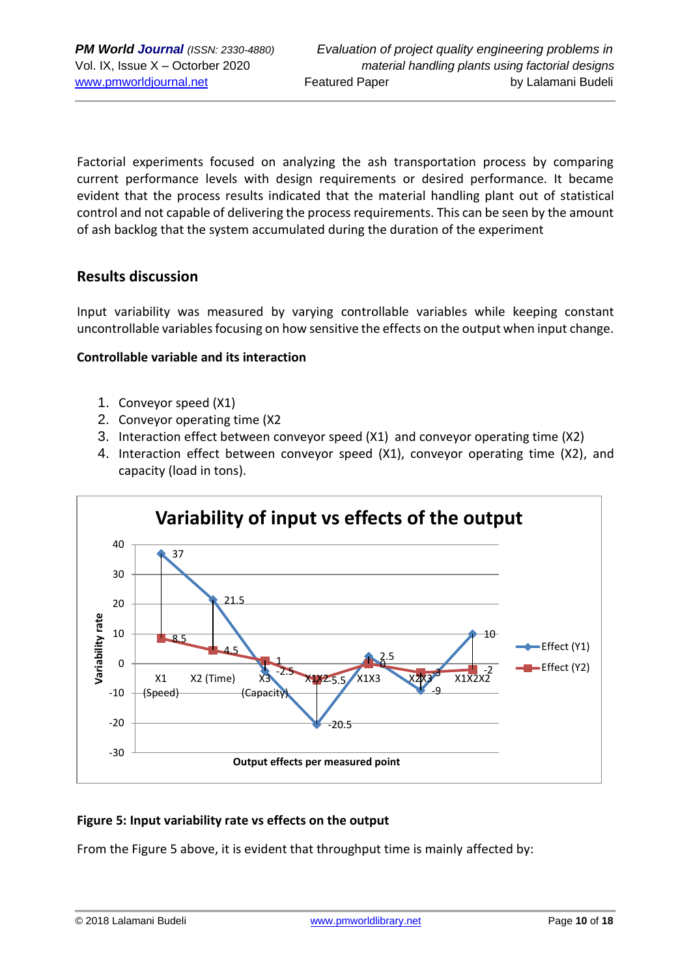Factorial experiments focused on analyzing the ash transportation process by comparing current performance levels with design requirements or desired performance. It became evident that the process results indicated that the material handling plant out of statistical control and not capable of delivering the process requirements. This can be seen by the amount of ash backlog that the system accumulated during the duration of the experiment

## **Results discussion**

Input variability was measured by varying controllable variables while keeping constant uncontrollable variables focusing on how sensitive the effects on the output when input change.

### **Controllable variable and its interaction**

- 1. Conveyor speed (X1)
- 2. Conveyor operating time (X2
- 3. Interaction effect between conveyor speed (X1) and conveyor operating time (X2)
- 4. Interaction effect between conveyor speed (X1), conveyor operating time (X2), and capacity (load in tons).



### **Figure 5: Input variability rate vs effects on the output**

From the Figure 5 above, it is evident that throughput time is mainly affected by: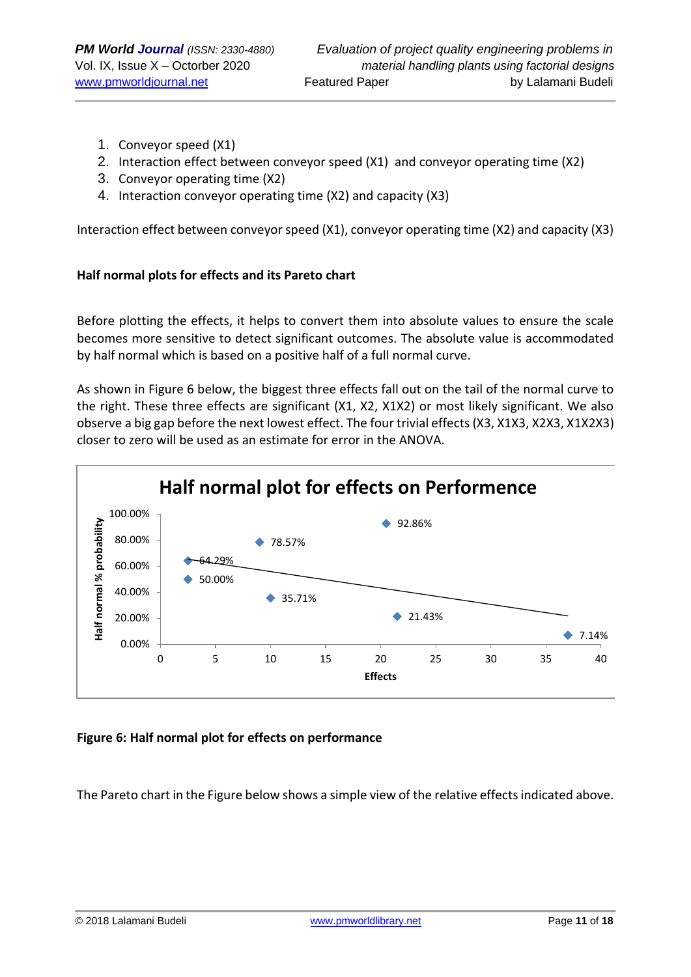- 1. Conveyor speed (X1)
- 2. Interaction effect between conveyor speed (X1) and conveyor operating time (X2)
- 3. Conveyor operating time (X2)
- 4. Interaction conveyor operating time (X2) and capacity (X3)

Interaction effect between conveyor speed (X1), conveyor operating time (X2) and capacity (X3)

### **Half normal plots for effects and its Pareto chart**

Before plotting the effects, it helps to convert them into absolute values to ensure the scale becomes more sensitive to detect significant outcomes. The absolute value is accommodated by half normal which is based on a positive half of a full normal curve.

As shown in Figure 6 below, the biggest three effects fall out on the tail of the normal curve to the right. These three effects are significant (X1, X2, X1X2) or most likely significant. We also observe a big gap before the next lowest effect. The four trivial effects (X3, X1X3, X2X3, X1X2X3) closer to zero will be used as an estimate for error in the ANOVA.



### **Figure 6: Half normal plot for effects on performance**

The Pareto chart in the Figure below shows a simple view of the relative effects indicated above.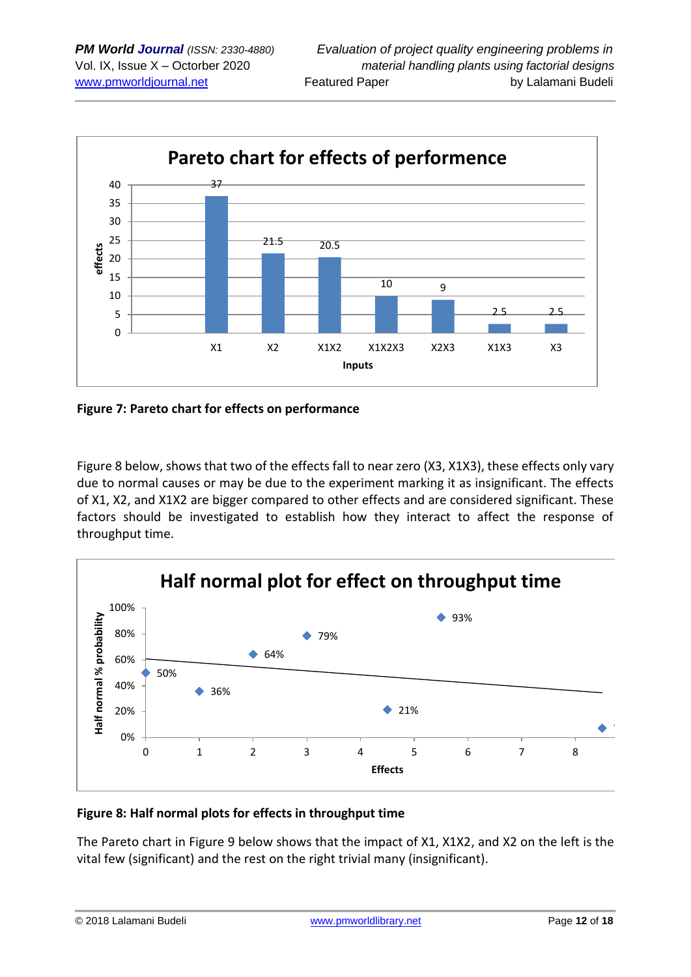

**Figure 7: Pareto chart for effects on performance**

Figure 8 below, shows that two of the effects fall to near zero (X3, X1X3), these effects only vary due to normal causes or may be due to the experiment marking it as insignificant. The effects of X1, X2, and X1X2 are bigger compared to other effects and are considered significant. These factors should be investigated to establish how they interact to affect the response of throughput time.



## **Figure 8: Half normal plots for effects in throughput time**

The Pareto chart in Figure 9 below shows that the impact of X1, X1X2, and X2 on the left is the vital few (significant) and the rest on the right trivial many (insignificant).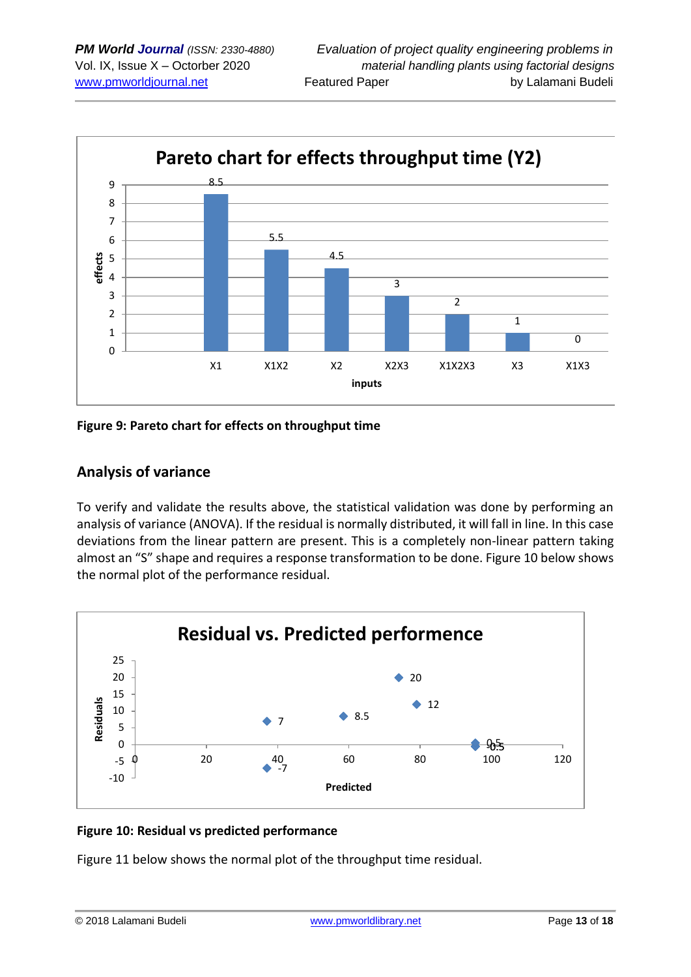

**Figure 9: Pareto chart for effects on throughput time**

## **Analysis of variance**

To verify and validate the results above, the statistical validation was done by performing an analysis of variance (ANOVA). If the residual is normally distributed, it will fall in line. In this case deviations from the linear pattern are present. This is a completely non-linear pattern taking almost an "S" shape and requires a response transformation to be done. Figure 10 below shows the normal plot of the performance residual.



## **Figure 10: Residual vs predicted performance**

Figure 11 below shows the normal plot of the throughput time residual.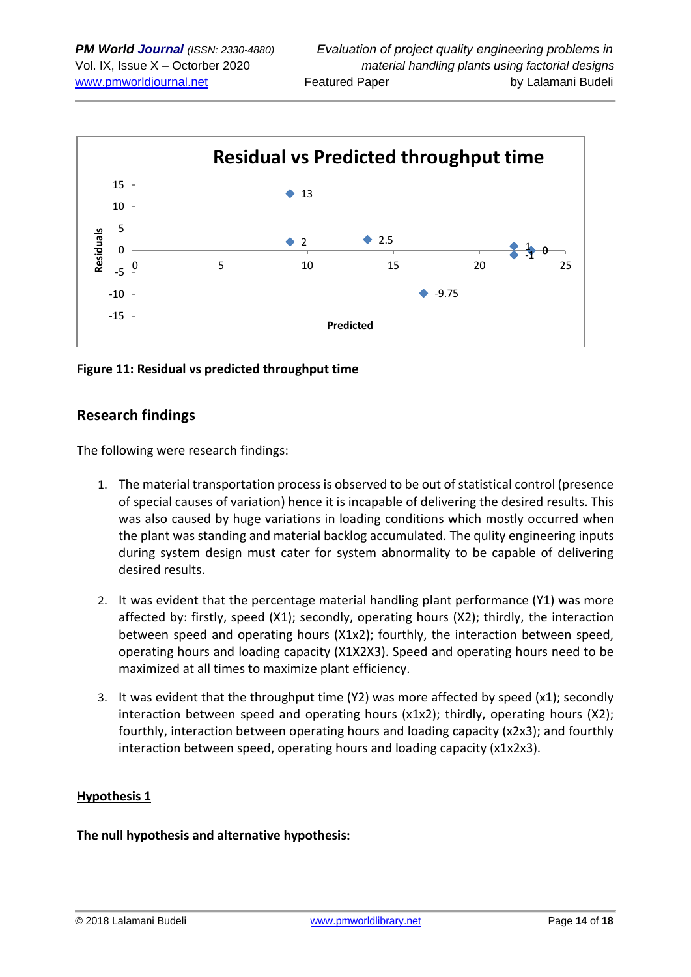

**Figure 11: Residual vs predicted throughput time**

## **Research findings**

The following were research findings:

- 1. The material transportation process is observed to be out of statistical control (presence of special causes of variation) hence it is incapable of delivering the desired results. This was also caused by huge variations in loading conditions which mostly occurred when the plant was standing and material backlog accumulated. The qulity engineering inputs during system design must cater for system abnormality to be capable of delivering desired results.
- 2. It was evident that the percentage material handling plant performance (Y1) was more affected by: firstly, speed (X1); secondly, operating hours (X2); thirdly, the interaction between speed and operating hours (X1x2); fourthly, the interaction between speed, operating hours and loading capacity (X1X2X3). Speed and operating hours need to be maximized at all times to maximize plant efficiency.
- 3. It was evident that the throughput time (Y2) was more affected by speed (x1); secondly interaction between speed and operating hours (x1x2); thirdly, operating hours (X2); fourthly, interaction between operating hours and loading capacity (x2x3); and fourthly interaction between speed, operating hours and loading capacity (x1x2x3).

### **Hypothesis 1**

## **The null hypothesis and alternative hypothesis:**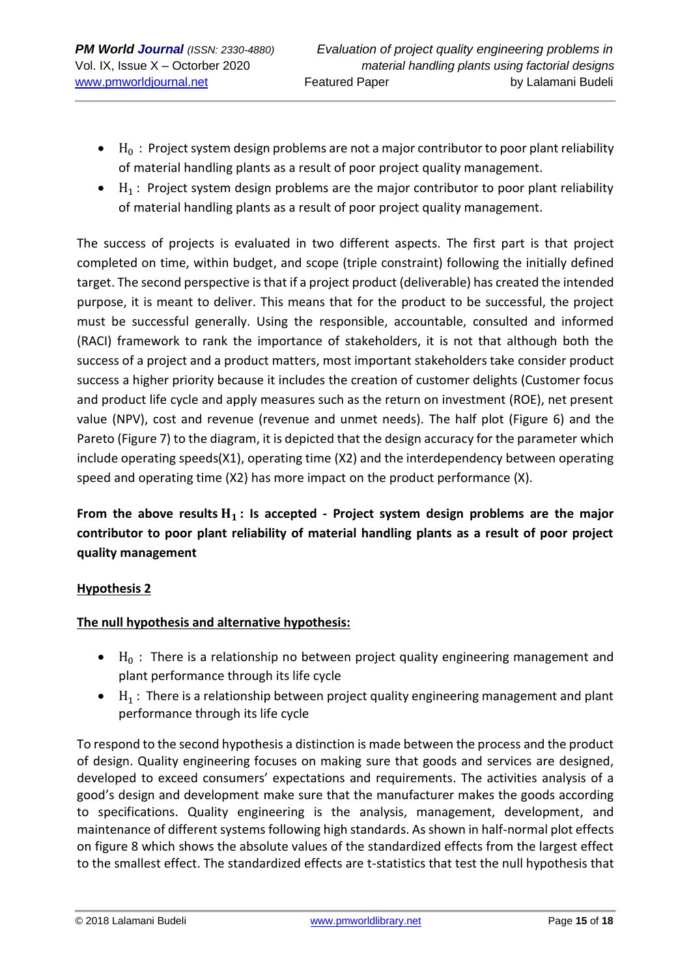- $\bullet$  H<sub>0</sub> : Project system design problems are not a major contributor to poor plant reliability of material handling plants as a result of poor project quality management.
- $H_1$ : Project system design problems are the major contributor to poor plant reliability of material handling plants as a result of poor project quality management.

The success of projects is evaluated in two different aspects. The first part is that project completed on time, within budget, and scope (triple constraint) following the initially defined target. The second perspective is that if a project product (deliverable) has created the intended purpose, it is meant to deliver. This means that for the product to be successful, the project must be successful generally. Using the responsible, accountable, consulted and informed (RACI) framework to rank the importance of stakeholders, it is not that although both the success of a project and a product matters, most important stakeholders take consider product success a higher priority because it includes the creation of customer delights (Customer focus and product life cycle and apply measures such as the return on investment (ROE), net present value (NPV), cost and revenue (revenue and unmet needs). The half plot (Figure 6) and the Pareto (Figure 7) to the diagram, it is depicted that the design accuracy for the parameter which include operating speeds(X1), operating time (X2) and the interdependency between operating speed and operating time (X2) has more impact on the product performance (X).

## **From the above results : Is accepted - Project system design problems are the major contributor to poor plant reliability of material handling plants as a result of poor project quality management**

## **Hypothesis 2**

## **The null hypothesis and alternative hypothesis:**

- $H_0$ : There is a relationship no between project quality engineering management and plant performance through its life cycle
- $\bullet$  H<sub>1</sub> : There is a relationship between project quality engineering management and plant performance through its life cycle

To respond to the second hypothesis a distinction is made between the process and the product of design. Quality engineering focuses on making sure that goods and services are designed, developed to exceed consumers' expectations and requirements. The activities analysis of a good's design and development make sure that the manufacturer makes the goods according to specifications. Quality engineering is the analysis, management, development, and maintenance of different systems following high standards. As shown in half-normal plot effects on figure 8 which shows the absolute values of the standardized effects from the largest effect to the smallest effect. The standardized effects are t-statistics that test the null hypothesis that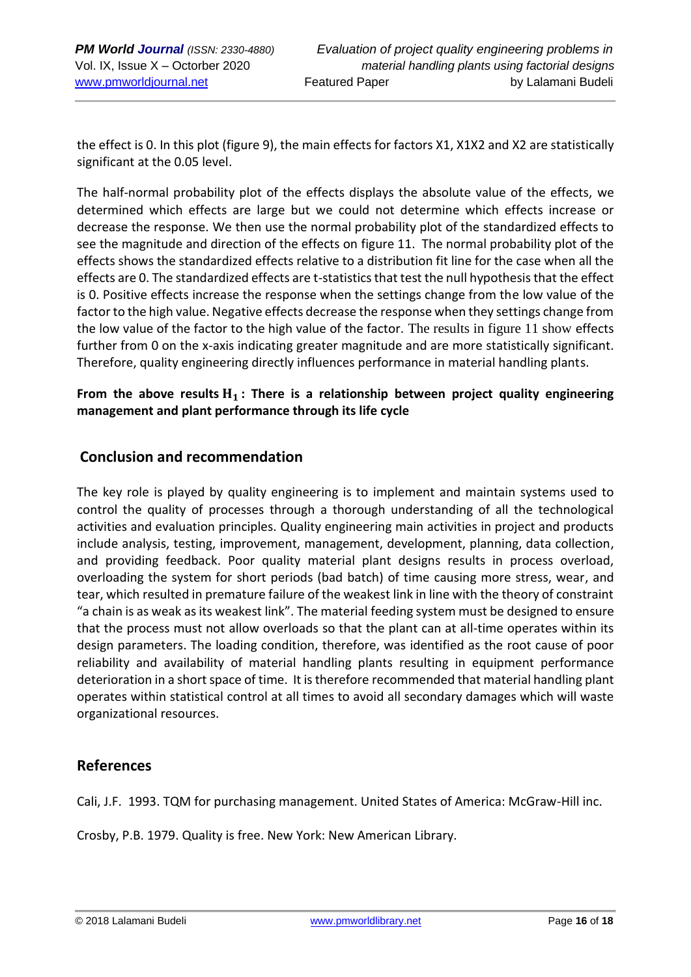the effect is 0. In this plot (figure 9), the main effects for factors X1, X1X2 and X2 are statistically significant at the 0.05 level.

The half-normal probability plot of the effects displays the absolute value of the effects, we determined which effects are large but we could not determine which effects increase or decrease the response. We then use the normal probability plot of the standardized effects to see the magnitude and direction of the effects on figure 11. The normal probability plot of the effects shows the standardized effects relative to a distribution fit line for the case when all the effects are 0. The standardized effects are t-statistics that test the null hypothesis that the effect is 0. Positive effects increase the response when the settings change from the low value of the factor to the high value. Negative effects decrease the response when they settings change from the low value of the factor to the high value of the factor. The results in figure 11 show effects further from 0 on the x-axis indicating greater magnitude and are more statistically significant. Therefore, quality engineering directly influences performance in material handling plants.

**From the above results : There is a relationship between project quality engineering management and plant performance through its life cycle** 

## **Conclusion and recommendation**

The key role is played by quality engineering is to implement and maintain systems used to control the quality of processes through a thorough understanding of all the technological activities and evaluation principles. Quality engineering main activities in project and products include analysis, testing, improvement, management, development, planning, data collection, and providing feedback. Poor quality material plant designs results in process overload, overloading the system for short periods (bad batch) of time causing more stress, wear, and tear, which resulted in premature failure of the weakest link in line with the theory of constraint "a chain is as weak as its weakest link". The material feeding system must be designed to ensure that the process must not allow overloads so that the plant can at all-time operates within its design parameters. The loading condition, therefore, was identified as the root cause of poor reliability and availability of material handling plants resulting in equipment performance deterioration in a short space of time. It is therefore recommended that material handling plant operates within statistical control at all times to avoid all secondary damages which will waste organizational resources.

## **References**

Cali, J.F. 1993. TQM for purchasing management. United States of America: McGraw-Hill inc.

Crosby, P.B. 1979. Quality is free. New York: New American Library.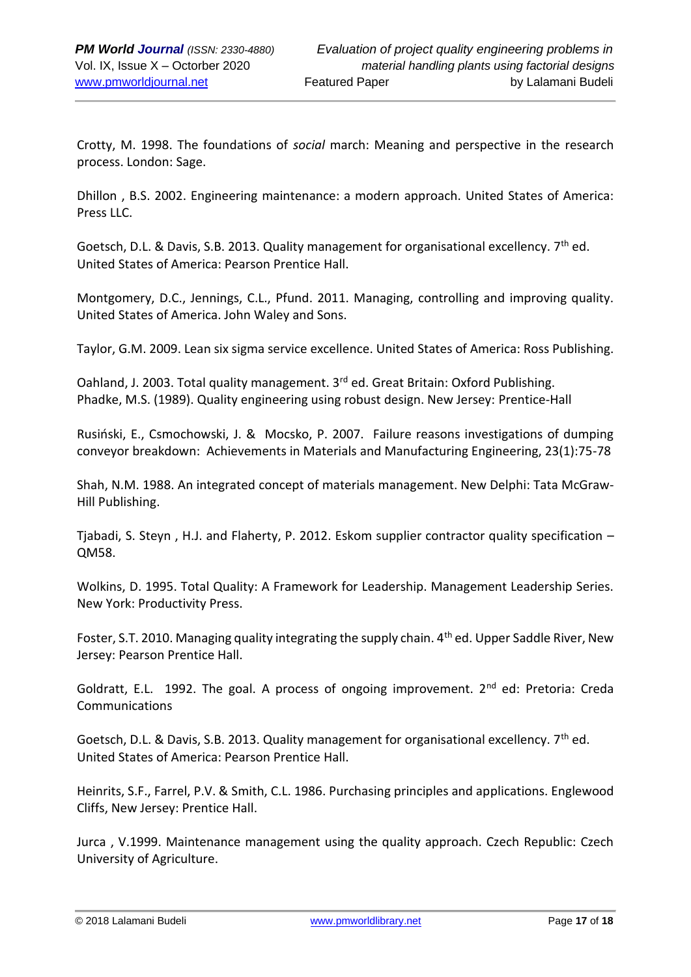Crotty, M. 1998. The foundations of *social* march: Meaning and perspective in the research process. London: Sage.

Dhillon , B.S. 2002. Engineering maintenance: a modern approach. United States of America: Press LLC.

Goetsch, D.L. & Davis, S.B. 2013. Quality management for organisational excellency. 7<sup>th</sup> ed. United States of America: Pearson Prentice Hall.

Montgomery, D.C., Jennings, C.L., Pfund. 2011. Managing, controlling and improving quality. United States of America. John Waley and Sons.

Taylor, G.M. 2009. Lean six sigma service excellence. United States of America: Ross Publishing.

Oahland, J. 2003. Total quality management. 3rd ed. Great Britain: Oxford Publishing. Phadke, M.S. (1989). Quality engineering using robust design. New Jersey: Prentice-Hall

Rusiński, E., Csmochowski, J. & Mocsko, P. 2007. Failure reasons investigations of dumping conveyor breakdown: Achievements in Materials and Manufacturing Engineering, 23(1):75-78

Shah, N.M. 1988. An integrated concept of materials management. New Delphi: Tata McGraw-Hill Publishing.

Tjabadi, S. Steyn , H.J. and Flaherty, P. 2012. Eskom supplier contractor quality specification – QM58.

Wolkins, D. 1995. Total Quality: A Framework for Leadership. Management Leadership Series. New York: Productivity Press.

Foster, S.T. 2010. Managing quality integrating the supply chain. 4<sup>th</sup> ed. Upper Saddle River, New Jersey: Pearson Prentice Hall.

Goldratt, E.L. 1992. The goal. A process of ongoing improvement. 2<sup>nd</sup> ed: Pretoria: Creda Communications

Goetsch, D.L. & Davis, S.B. 2013. Quality management for organisational excellency. 7<sup>th</sup> ed. United States of America: Pearson Prentice Hall.

Heinrits, S.F., Farrel, P.V. & Smith, C.L. 1986. Purchasing principles and applications. Englewood Cliffs, New Jersey: Prentice Hall.

Jurca , V.1999. Maintenance management using the quality approach. Czech Republic: Czech University of Agriculture.